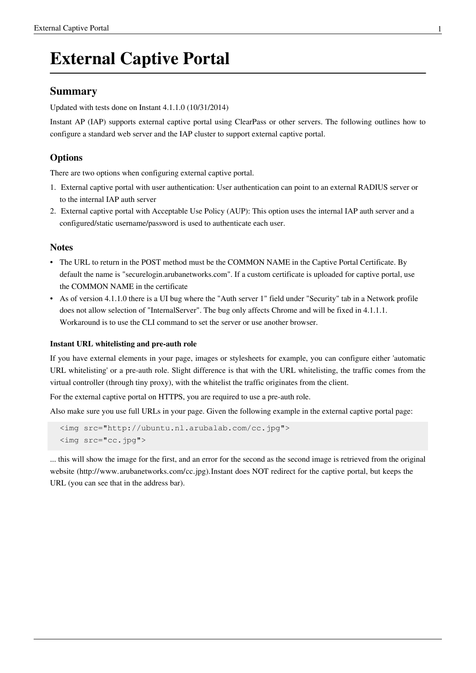# **External Captive Portal**

### **Summary**

Updated with tests done on Instant 4.1.1.0 (10/31/2014)

Instant AP (IAP) supports external captive portal using ClearPass or other servers. The following outlines how to configure a standard web server and the IAP cluster to support external captive portal.

### **Options**

There are two options when configuring external captive portal.

- 1. External captive portal with user authentication: User authentication can point to an external RADIUS server or to the internal IAP auth server
- 2. External captive portal with Acceptable Use Policy (AUP): This option uses the internal IAP auth server and a configured/static username/password is used to authenticate each user.

#### **Notes**

- The URL to return in the POST method must be the COMMON NAME in the Captive Portal Certificate. By default the name is "securelogin.arubanetworks.com". If a custom certificate is uploaded for captive portal, use the COMMON NAME in the certificate
- As of version 4.1.1.0 there is a UI bug where the "Auth server 1" field under "Security" tab in a Network profile does not allow selection of "InternalServer". The bug only affects Chrome and will be fixed in 4.1.1.1. Workaround is to use the CLI command to set the server or use another browser.

#### **Instant URL whitelisting and pre-auth role**

If you have external elements in your page, images or stylesheets for example, you can configure either 'automatic URL whitelisting' or a pre-auth role. Slight difference is that with the URL whitelisting, the traffic comes from the virtual controller (through tiny proxy), with the whitelist the traffic originates from the client.

For the external captive portal on HTTPS, you are required to use a pre-auth role.

Also make sure you use full URLs in your page. Given the following example in the external captive portal page:

```
 <img src="http://ubuntu.nl.arubalab.com/cc.jpg">
 <img src="cc.jpg">
```
... this will show the image for the first, and an error for the second as the second image is retrieved from the original website ([http://www.arubanetworks.com/cc.jpg\).](http://www.arubanetworks.com/cc.jpg).)Instant does NOT redirect for the captive portal, but keeps the URL (you can see that in the address bar).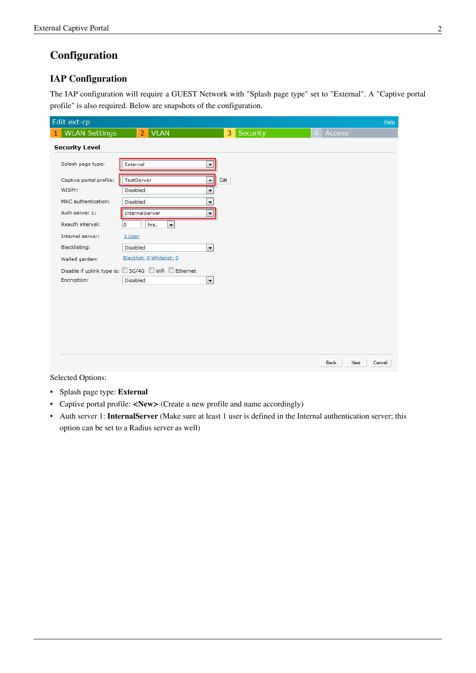## **Configuration**

#### **IAP Configuration**

The IAP configuration will require a GUEST Network with "Splash page type" set to "External". A "Captive portal profile" is also required. Below are snapshots of the configuration.

| Edit ext-cp                          |                                                                                                 |                                  |                |                     | Help   |
|--------------------------------------|-------------------------------------------------------------------------------------------------|----------------------------------|----------------|---------------------|--------|
| <b>WLAN Settings</b><br>$\mathbf{1}$ | <b>VLAN</b><br>$\overline{2}$                                                                   | Security<br>3                    | $\overline{4}$ | Access              |        |
| <b>Security Level</b>                |                                                                                                 |                                  |                |                     |        |
| Splash page type:                    | External                                                                                        | ۰                                |                |                     |        |
| Captive portal profile:<br>WISPr:    | TestServer<br><b>Disabled</b>                                                                   | Edit<br>$\overline{\phantom{a}}$ |                |                     |        |
| MAC authentication:                  | Disabled                                                                                        | ۰<br>۰                           |                |                     |        |
| Auth server 1:<br>Reauth interval:   | InternalServer<br>hrs.<br>$\overline{\phantom{a}}$<br>١o                                        | ۰                                |                |                     |        |
| Internal server:                     | 1 User                                                                                          |                                  |                |                     |        |
| Blacklisting:<br>Walled garden:      | Disabled<br>Blacklist: 0 Whitelist: 0                                                           | $\vert$                          |                |                     |        |
| Encryption:                          | Disable if uplink type is: $\square$ 3G/4G $\square$ Wifi $\square$ Ethernet<br><b>Disabled</b> | $\overline{\phantom{a}}$         |                |                     |        |
|                                      |                                                                                                 |                                  |                |                     |        |
|                                      |                                                                                                 |                                  |                |                     |        |
|                                      |                                                                                                 |                                  |                |                     |        |
|                                      |                                                                                                 |                                  |                |                     |        |
|                                      |                                                                                                 |                                  |                | Next<br><b>Back</b> | Cancel |

Selected Options:

- Splash page type: **External**
- Captive portal profile: **<New>** (Create a new profile and name accordingly)
- Auth server 1: **InternalServer** (Make sure at least 1 user is defined in the Internal authentication server; this option can be set to a Radius server as well)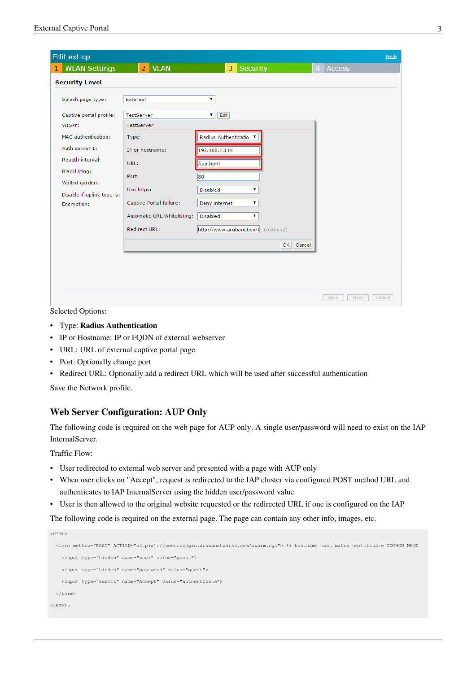| Edit ext-cp                               |                             |                                       |                                 | Help |
|-------------------------------------------|-----------------------------|---------------------------------------|---------------------------------|------|
| <b>WLAN Settings</b><br>$\mathbf{1}$      | 2 VLAN                      | 3 Security                            | <b>Access</b><br>$\overline{4}$ |      |
| <b>Security Level</b>                     |                             |                                       |                                 |      |
| Splash page type:                         | External                    | ۷.                                    |                                 |      |
| Captive portal profile:                   | TestServer                  | Edit<br>▼.                            |                                 |      |
| WISPr:                                    | TestServer                  |                                       |                                 |      |
| MAC authentication:                       | Type:                       | Radius Authenticatio ▼                |                                 |      |
| Auth server 1:                            | IP or hostname:             | 192.168.1.114                         |                                 |      |
| Reauth interval:                          | URL:                        | /iap.html                             |                                 |      |
| Blacklisting:                             | Port:                       | 80                                    |                                 |      |
| Walled garden:                            | Use https:                  | Disabled<br>7                         |                                 |      |
| Disable if uplink type is:<br>Encryption: | Captive Portal failure:     | Deny internet<br>۷.                   |                                 |      |
|                                           | Automatic URL Whitelisting: | <b>Disabled</b>                       |                                 |      |
|                                           | <b>Redirect URL:</b>        | http://www.arubanetwork<br>(optional) |                                 |      |
|                                           |                             | OK Cancel                             |                                 |      |
|                                           |                             |                                       |                                 |      |
|                                           |                             |                                       |                                 |      |
|                                           |                             |                                       |                                 |      |
|                                           |                             |                                       | <b>Back</b><br>Next<br>Cancel   |      |

Selected Options:

- Type: **Radius Authentication**
- IP or Hostname: IP or FODN of external webserver
- URL: URL of external captive portal page
- Port: Optionally change port
- Redirect URL: Optionally add a redirect URL which will be used after successful authentication

Save the Network profile.

#### **Web Server Configuration: AUP Only**

The following code is required on the web page for AUP only. A single user/password will need to exist on the IAP InternalServer.

Traffic Flow:

- User redirected to external web server and presented with a page with AUP only
- When user clicks on "Accept", request is redirected to the IAP cluster via configured POST method URL and authenticates to IAP InternalServer using the hidden user/password value
- User is then allowed to the original website requested or the redirected URL if one is configured on the IAP

The following code is required on the external page. The page can contain any other info, images, etc.

```
\epsilonHTML> <form method="POST" ACTION="http(s)://securelogin.arubanetworks.com/swarm.cgi"> ## hostname must match certificate COMMON NAME 
    <input type="hidden" name="user" value="guest">
     <input type="hidden" name="password" value="guest">
    <input type="submit" name="Accept" value="authenticate">
 \ell/form>
</HTML>
```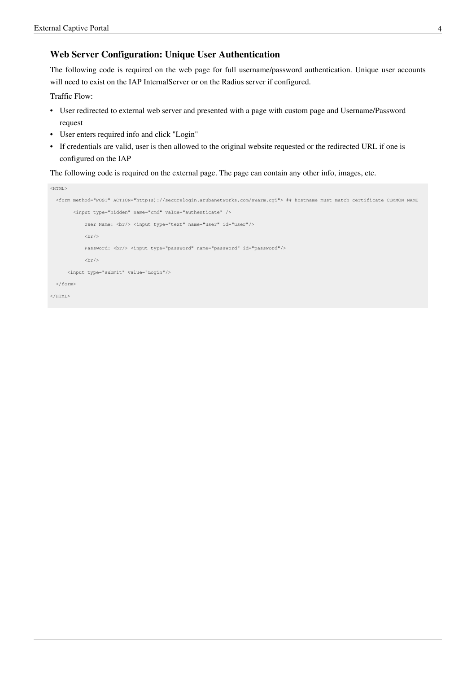#### **Web Server Configuration: Unique User Authentication**

The following code is required on the web page for full username/password authentication. Unique user accounts will need to exist on the IAP InternalServer or on the Radius server if configured.

Traffic Flow:

- User redirected to external web server and presented with a page with custom page and Username/Password request
- User enters required info and click "Login"
- If credentials are valid, user is then allowed to the original website requested or the redirected URL if one is configured on the IAP

The following code is required on the external page. The page can contain any other info, images, etc.

```
<HTML> <form method="POST" ACTION="http(s)://securelogin.arubanetworks.com/swarm.cgi"> ## hostname must match certificate COMMON NAME
         <input type="hidden" name="cmd" value="authenticate" />
            User Name: <br/> <input type="text" name="user" id="user"/>
           \frac{1}{2}Password: <br/> <input type="password" name="password" id="password"/>
            \text{br/} <input type="submit" value="Login"/>
   </form>
</HTML>
```